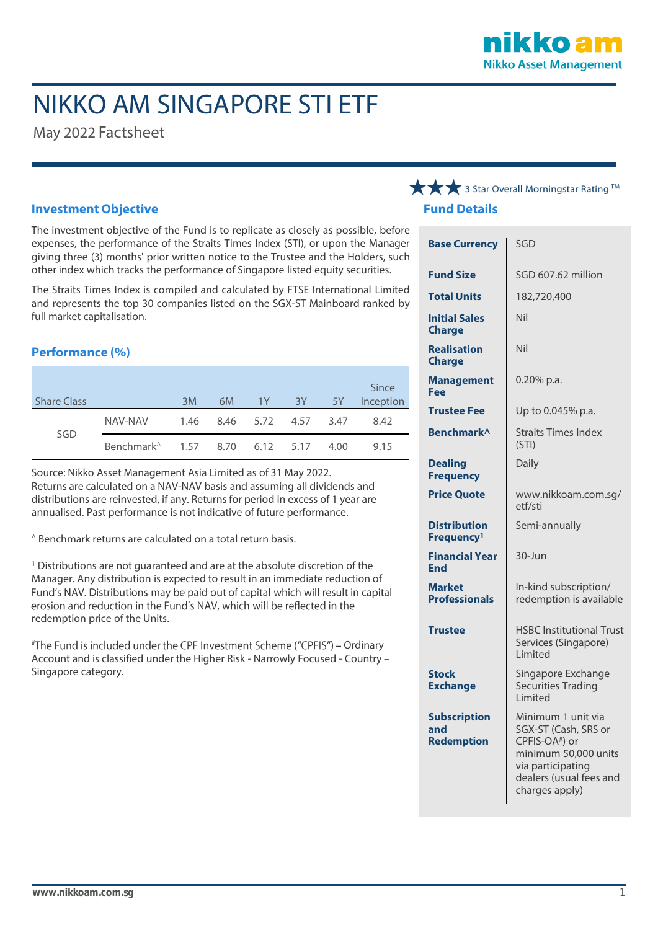

# NIKKO AM SINGAPORE STI ETF

May 2022 Factsheet

#### **Investment Objective**

The investment objective of the Fund is to replicate as closely as possible, before expenses, the performance of the Straits Times Index (STI), or upon the Manager giving three (3) months' prior written notice to the Trustee and the Holders, such other index which tracks the performance of Singapore listed equity securities.

The Straits Times Index is compiled and calculated by FTSE International Limited and represents the top 30 companies listed on the SGX-ST Mainboard ranked by full market capitalisation.

#### **Performance (%)**

| <b>Share Class</b> |                                            | 3M | 6M |                          | 1Y 3Y | $-5Y$ | Since<br>Inception |
|--------------------|--------------------------------------------|----|----|--------------------------|-------|-------|--------------------|
| SGD                | NAV-NAV                                    |    |    | 1.46 8.46 5.72 4.57 3.47 |       |       | 8.42               |
|                    | Benchmark <sup>^</sup> 1.57 8.70 6.12 5.17 |    |    |                          |       | 4.00  | 9.15               |

Source: Nikko Asset Management Asia Limited as of 31 May 2022. Returns are calculated on a NAV-NAV basis and assuming all dividends and distributions are reinvested, if any. Returns for period in excess of 1 year are annualised. Past performance is not indicative of future performance.

^ Benchmark returns are calculated on a total return basis.

<sup>1</sup> Distributions are not quaranteed and are at the absolute discretion of the Manager. Any distribution is expected to result in an immediate reduction of Fund's NAV. Distributions may be paid out of capital which will result in capital erosion and reduction in the Fund's NAV, which will be reflected in the redemption price of the Units.

#The Fund is included under the CPF Investment Scheme ("CPFIS") - Ordinary Account and is classified under the Higher Risk - Narrowly Focused - Country Singapore category.

### → 3 Star Overall Morningstar Rating ™ **Fund Details**

| <b>Base Currency</b>                            | SGD                                                                                                                                                                |  |  |
|-------------------------------------------------|--------------------------------------------------------------------------------------------------------------------------------------------------------------------|--|--|
| <b>Fund Size</b>                                | SGD 607.62 million                                                                                                                                                 |  |  |
| <b>Total Units</b>                              | 182,720,400                                                                                                                                                        |  |  |
| <b>Initial Sales</b><br><b>Charge</b>           | Nil                                                                                                                                                                |  |  |
| <b>Realisation</b><br><b>Charge</b>             | Nil                                                                                                                                                                |  |  |
| <b>Management</b><br>Fee                        | $0.20\%$ p.a.                                                                                                                                                      |  |  |
| <b>Trustee Fee</b>                              | Up to 0.045% p.a.                                                                                                                                                  |  |  |
| Benchmark^                                      | <b>Straits Times Index</b><br>(STI)                                                                                                                                |  |  |
| <b>Dealing</b><br><b>Frequency</b>              | Daily                                                                                                                                                              |  |  |
| <b>Price Quote</b>                              | www.nikkoam.com.sg/<br>etf/sti                                                                                                                                     |  |  |
| <b>Distribution</b><br>Frequency <sup>1</sup>   | Semi-annually                                                                                                                                                      |  |  |
| <b>Financial Year</b><br><b>End</b>             | 30-Jun                                                                                                                                                             |  |  |
| <b>Market</b><br><b>Professionals</b>           | In-kind subscription/<br>redemption is available                                                                                                                   |  |  |
| <b>Trustee</b>                                  | <b>HSBC Institutional Trust</b><br>Services (Singapore)<br>Limited                                                                                                 |  |  |
| <b>Stock</b><br><b>Exchange</b>                 | Singapore Exchange<br><b>Securities Trading</b><br>Limited                                                                                                         |  |  |
| <b>Subscription</b><br>and<br><b>Redemption</b> | Minimum 1 unit via<br>SGX-ST (Cash, SRS or<br>CPFIS-OA <sup>#</sup> ) or<br>minimum 50,000 units<br>via participating<br>dealers (usual fees and<br>charges apply) |  |  |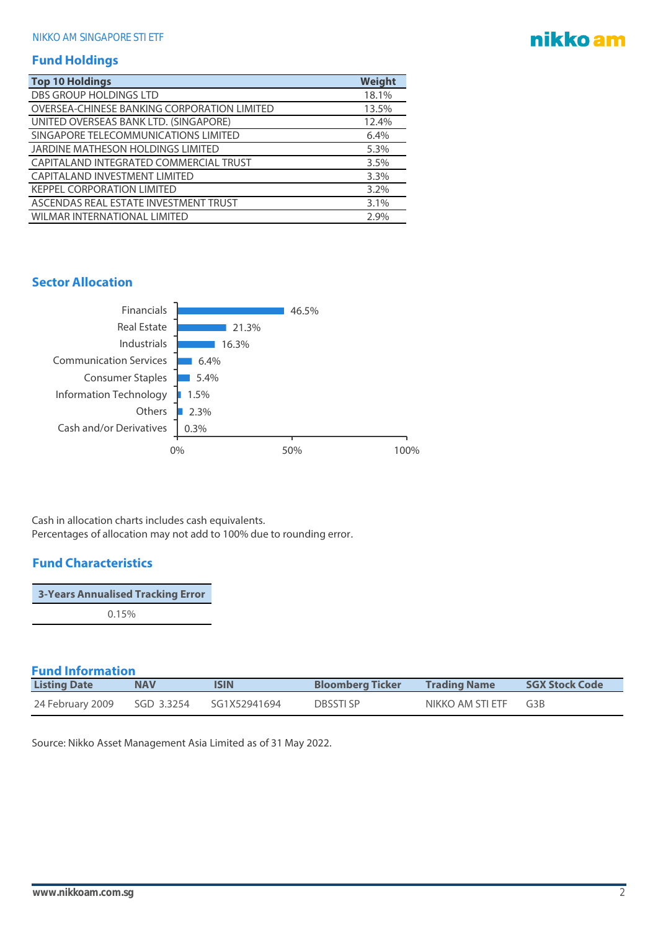## nikko am

#### **Fund Holdings**

| <b>Top 10 Holdings</b>                      | Weight  |
|---------------------------------------------|---------|
| <b>DBS GROUP HOLDINGS LTD</b>               | 18.1%   |
| OVERSEA-CHINESE BANKING CORPORATION LIMITED | 13.5%   |
| UNITED OVERSEAS BANK LTD. (SINGAPORE)       | 12.4%   |
| SINGAPORE TELECOMMUNICATIONS LIMITED        | 6.4%    |
| JARDINE MATHESON HOLDINGS LIMITED           | 5.3%    |
| CAPITALAND INTEGRATED COMMERCIAL TRUST      | 3.5%    |
| CAPITALAND INVESTMENT LIMITED               | 3.3%    |
| <b>KEPPEL CORPORATION LIMITED</b>           | $3.2\%$ |
| ASCENDAS REAL ESTATE INVESTMENT TRUST       | 3.1%    |
| <b>WILMAR INTERNATIONAL LIMITED</b>         | 2.9%    |

#### **Sector Allocation**



Cash in allocation charts includes cash equivalents. Percentages of allocation may not add to 100% due to rounding error.

#### **Fund Characteristics**

| <b>3-Years Annualised Tracking Error</b> |  |
|------------------------------------------|--|
| 0.15%                                    |  |

#### **Fund Information**

| <b>Listing Date</b> | <b>NAV</b> | <b>ISIN</b>  | <b>Bloomberg Ticker</b> | <b>Trading Name</b>  | <b>SGX Stock Code</b> |
|---------------------|------------|--------------|-------------------------|----------------------|-----------------------|
| 24 February 2009    | SGD 3.3254 | SG1X52941694 | <b>DBSSTISP</b>         | NIKKO AM STI ETF G3B |                       |

Source: Nikko Asset Management Asia Limited as of 31 May 2022.